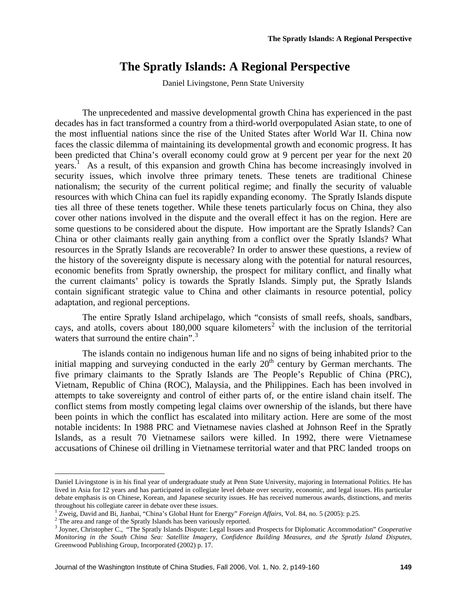Daniel Livingstone, Penn State University

The unprecedented and massive developmental growth China has experienced in the past decades has in fact transformed a country from a third-world overpopulated Asian state, to one of the most influential nations since the rise of the United States after World War II. China now faces the classic dilemma of maintaining its developmental growth and economic progress. It has been predicted that China's overall economy could grow at 9 percent per year for the next 20 years.<sup>[1](#page-0-0)</sup> As a result, of this expansion and growth China has become increasingly involved in security issues, which involve three primary tenets. These tenets are traditional Chinese nationalism; the security of the current political regime; and finally the security of valuable resources with which China can fuel its rapidly expanding economy. The Spratly Islands dispute ties all three of these tenets together. While these tenets particularly focus on China, they also cover other nations involved in the dispute and the overall effect it has on the region. Here are some questions to be considered about the dispute. How important are the Spratly Islands? Can China or other claimants really gain anything from a conflict over the Spratly Islands? What resources in the Spratly Islands are recoverable? In order to answer these questions, a review of the history of the sovereignty dispute is necessary along with the potential for natural resources, economic benefits from Spratly ownership, the prospect for military conflict, and finally what the current claimants' policy is towards the Spratly Islands. Simply put, the Spratly Islands contain significant strategic value to China and other claimants in resource potential, policy adaptation, and regional perceptions.

The entire Spratly Island archipelago, which "consists of small reefs, shoals, sandbars, cays, and atolls, covers about  $180,000$  square kilometers<sup>[2](#page-0-1)</sup> with the inclusion of the territorial waters that surround the entire chain".<sup>[3](#page-0-2)</sup>

The islands contain no indigenous human life and no signs of being inhabited prior to the initial mapping and surveying conducted in the early  $20<sup>th</sup>$  century by German merchants. The five primary claimants to the Spratly Islands are The People's Republic of China (PRC), Vietnam, Republic of China (ROC), Malaysia, and the Philippines. Each has been involved in attempts to take sovereignty and control of either parts of, or the entire island chain itself. The conflict stems from mostly competing legal claims over ownership of the islands, but there have been points in which the conflict has escalated into military action. Here are some of the most notable incidents: In 1988 PRC and Vietnamese navies clashed at Johnson Reef in the Spratly Islands, as a result 70 Vietnamese sailors were killed. In 1992, there were Vietnamese accusations of Chinese oil drilling in Vietnamese territorial water and that PRC landed troops on

<span id="page-0-0"></span>Daniel Livingstone is in his final year of undergraduate study at Penn State University, majoring in International Politics. He has lived in Asia for 12 years and has participated in collegiate level debate over security, economic, and legal issues. His particular debate emphasis is on Chinese, Korean, and Japanese security issues. He has received numerous awards, distinctions, and merits throughout his collegiate career in debate over these issues. 1

<sup>&</sup>lt;sup>1</sup> Zweig, David and Bi, Jianbai, "China's Global Hunt for Energy" *Foreign Affairs*, Vol. 84, no. 5 (2005): p.25.

<span id="page-0-1"></span> $2$  The area and range of the Spratly Islands has been variously reported.

<span id="page-0-2"></span><sup>&</sup>lt;sup>3</sup> Joyner, Christopher C., "The Spratly Islands Dispute: Legal Issues and Prospects for Diplomatic Accommodation" *Cooperative Monitoring in the South China Sea: Satellite Imagery, Confidence Building Measures, and the Spratly Island Disputes*, Greenwood Publishing Group, Incorporated (2002) p. 17.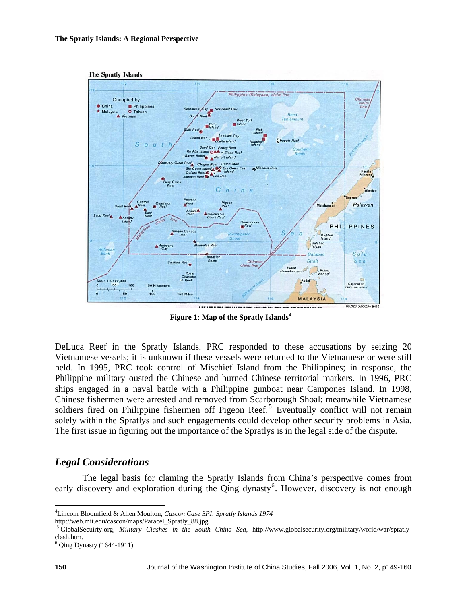

 **Figure 1: Map of the Spratly Islands[4](#page-1-0)**

DeLuca Reef in the Spratly Islands. PRC responded to these accusations by seizing 20 Vietnamese vessels; it is unknown if these vessels were returned to the Vietnamese or were still held. In 1995, PRC took control of Mischief Island from the Philippines; in response, the Philippine military ousted the Chinese and burned Chinese territorial markers. In 1996, PRC ships engaged in a naval battle with a Philippine gunboat near Campones Island. In 1998, Chinese fishermen were arrested and removed from Scarborough Shoal; meanwhile Vietnamese soldiers fired on Philippine fishermen off Pigeon Reef.<sup>[5](#page-1-1)</sup> Eventually conflict will not remain solely within the Spratlys and such engagements could develop other security problems in Asia. The first issue in figuring out the importance of the Spratlys is in the legal side of the dispute.

### *Legal Considerations*

The legal basis for claming the Spratly Islands from China's perspective comes from early discovery and exploration during the  $\overline{Q}$ ing dynasty<sup>[6](#page-1-2)</sup>. However, discovery is not enough

<span id="page-1-1"></span>

<span id="page-1-0"></span><sup>4</sup> Lincoln Bloomfield & Allen Moulton, *Cascon Case SPI: Spratly Islands 1974* 

http://web.mit.edu/cascon/maps/Paracel\_Spratly\_88.jpg<br><sup>5</sup> GlobalSecuirty.org, *Military Clashes in the South China Sea*, http://www.globalsecurity.org/military/world/war/spratlyclash.htm.

<span id="page-1-2"></span><sup>6</sup> Qing Dynasty (1644-1911)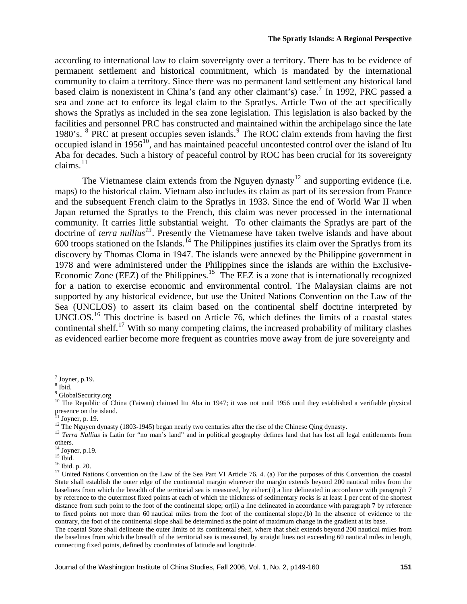according to international law to claim sovereignty over a territory. There has to be evidence of permanent settlement and historical commitment, which is mandated by the international community to claim a territory. Since there was no permanent land settlement any historical land based claim is nonexistent in China's (and any other claimant's) case.<sup>[7](#page-2-0)</sup> In 1992, PRC passed a sea and zone act to enforce its legal claim to the Spratlys. Article Two of the act specifically shows the Spratlys as included in the sea zone legislation. This legislation is also backed by the facilities and personnel PRC has constructed and maintained within the archipelago since the late 19[8](#page-2-1)0's. <sup>8</sup> PRC at present occupies seven islands.<sup>[9](#page-2-2)</sup> The ROC claim extends from having the first occupied island in  $1956^{10}$  $1956^{10}$  $1956^{10}$ , and has maintained peaceful uncontested control over the island of Itu Aba for decades. Such a history of peaceful control by ROC has been crucial for its sovereignty claims. $^{11}$  $^{11}$  $^{11}$ 

The Vietnamese claim extends from the Nguyen dynasty<sup>[12](#page-2-5)</sup> and supporting evidence (i.e. maps) to the historical claim. Vietnam also includes its claim as part of its secession from France and the subsequent French claim to the Spratlys in 1933. Since the end of World War II when Japan returned the Spratlys to the French, this claim was never processed in the international community. It carries little substantial weight. To other claimants the Spratlys are part of the doctrine of *terra nullius[13](#page-2-6)*. Presently the Vietnamese have taken twelve islands and have about 600 troops stationed on the Islands.<sup>[14](#page-2-7)</sup> The Philippines justifies its claim over the Spratlys from its discovery by Thomas Cloma in 1947. The islands were annexed by the Philippine government in 1978 and were administered under the Philippines since the islands are within the Exclusive-Economic Zone (EEZ) of the Philippines.<sup>[15](#page-2-8)</sup> The EEZ is a zone that is internationally recognized for a nation to exercise economic and environmental control. The Malaysian claims are not supported by any historical evidence, but use the United Nations Convention on the Law of the Sea (UNCLOS) to assert its claim based on the continental shelf doctrine interpreted by UNCLOS.<sup>[16](#page-2-9)</sup> This doctrine is based on Article 76, which defines the limits of a coastal states continental shelf.<sup>[17](#page-2-10)</sup> With so many competing claims, the increased probability of military clashes as evidenced earlier become more frequent as countries move away from de jure sovereignty and

<span id="page-2-0"></span> $<sup>7</sup>$  Joyner, p.19.</sup>

<span id="page-2-1"></span><sup>8</sup> Ibid.

<sup>&</sup>lt;sup>9</sup> GlobalSecurity.org

<span id="page-2-3"></span><span id="page-2-2"></span><sup>&</sup>lt;sup>10</sup> The Republic of China (Taiwan) claimed Itu Aba in 1947; it was not until 1956 until they established a verifiable physical presence on the island.

 $11$  Joyner, p. 19.

<span id="page-2-6"></span><span id="page-2-5"></span><span id="page-2-4"></span><sup>&</sup>lt;sup>12</sup> The Nguyen dynasty (1803-1945) began nearly two centuries after the rise of the Chinese Qing dynasty.<br><sup>13</sup> *Terra Nullius* is Latin for "no man's land" and in political geography defines land that has lost all legal others.

<span id="page-2-7"></span><sup>14</sup> Joyner, p.19.

<span id="page-2-8"></span> $15$  Ibid.

<span id="page-2-9"></span><sup>16</sup> Ibid. p. 20.

<span id="page-2-10"></span><sup>&</sup>lt;sup>17</sup> United Nations Convention on the Law of the Sea Part VI Article 76. 4. (a) For the purposes of this Convention, the coastal State shall establish the outer edge of the continental margin wherever the margin extends beyond 200 nautical miles from the baselines from which the breadth of the territorial sea is measured, by either:(i) a line delineated in accordance with paragraph 7 by reference to the outermost fixed points at each of which the thickness of sedimentary rocks is at least 1 per cent of the shortest distance from such point to the foot of the continental slope; or(ii) a line delineated in accordance with paragraph 7 by reference to fixed points not more than 60 nautical miles from the foot of the continental slope.(b) In the absence of evidence to the contrary, the foot of the continental slope shall be determined as the point of maximum change in the gradient at its base.

The coastal State shall delineate the outer limits of its continental shelf, where that shelf extends beyond 200 nautical miles from the baselines from which the breadth of the territorial sea is measured, by straight lines not exceeding 60 nautical miles in length, connecting fixed points, defined by coordinates of latitude and longitude.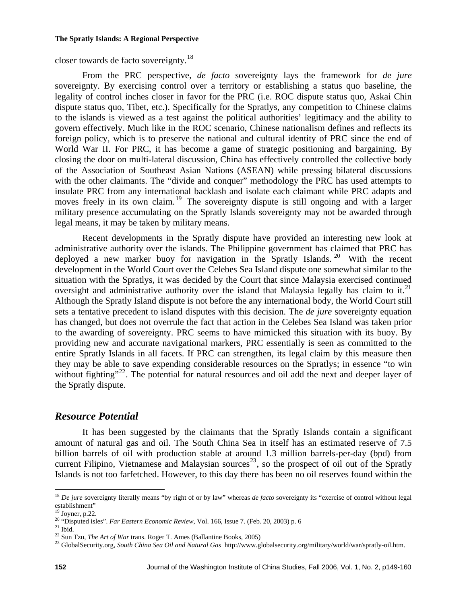closer towards de facto sovereignty.[18](#page-3-0) 

From the PRC perspective, *de facto* sovereignty lays the framework for *de jure* sovereignty. By exercising control over a territory or establishing a status quo baseline, the legality of control inches closer in favor for the PRC (i.e. ROC dispute status quo, Askai Chin dispute status quo, Tibet, etc.). Specifically for the Spratlys, any competition to Chinese claims to the islands is viewed as a test against the political authorities' legitimacy and the ability to govern effectively. Much like in the ROC scenario, Chinese nationalism defines and reflects its foreign policy, which is to preserve the national and cultural identity of PRC since the end of World War II. For PRC, it has become a game of strategic positioning and bargaining. By closing the door on multi-lateral discussion, China has effectively controlled the collective body of the Association of Southeast Asian Nations (ASEAN) while pressing bilateral discussions with the other claimants. The "divide and conquer" methodology the PRC has used attempts to insulate PRC from any international backlash and isolate each claimant while PRC adapts and moves freely in its own claim.<sup>[19](#page-3-1)</sup> The sovereignty dispute is still ongoing and with a larger military presence accumulating on the Spratly Islands sovereignty may not be awarded through legal means, it may be taken by military means.

Recent developments in the Spratly dispute have provided an interesting new look at administrative authority over the islands. The Philippine government has claimed that PRC has deployed a new marker buoy for navigation in the Spratly Islands.<sup>[20](#page-3-2)</sup> With the recent development in the World Court over the Celebes Sea Island dispute one somewhat similar to the situation with the Spratlys, it was decided by the Court that since Malaysia exercised continued oversight and administrative authority over the island that Malaysia legally has claim to it.<sup>[21](#page-3-3)</sup> Although the Spratly Island dispute is not before the any international body, the World Court still sets a tentative precedent to island disputes with this decision. The *de jure* sovereignty equation has changed, but does not overrule the fact that action in the Celebes Sea Island was taken prior to the awarding of sovereignty. PRC seems to have mimicked this situation with its buoy. By providing new and accurate navigational markers, PRC essentially is seen as committed to the entire Spratly Islands in all facets. If PRC can strengthen, its legal claim by this measure then they may be able to save expending considerable resources on the Spratlys; in essence "to win without fighting"<sup>[22](#page-3-4)</sup>. The potential for natural resources and oil add the next and deeper layer of the Spratly dispute.

# *Resource Potential*

It has been suggested by the claimants that the Spratly Islands contain a significant amount of natural gas and oil. The South China Sea in itself has an estimated reserve of 7.5 billion barrels of oil with production stable at around 1.3 million barrels-per-day (bpd) from current Filipino, Vietnamese and Malaysian sources<sup>[23](#page-3-5)</sup>, so the prospect of oil out of the Spratly Islands is not too farfetched. However, to this day there has been no oil reserves found within the

<span id="page-3-0"></span> $\overline{a}$ <sup>18</sup> *De jure* sovereignty literally means "by right of or by law" whereas *de facto* sovereignty its "exercise of control without legal establishment"

 $19$  Joyner, p.22.

<span id="page-3-2"></span><span id="page-3-1"></span><sup>&</sup>lt;sup>20</sup> "Disputed isles". *Far Eastern Economic Review*, Vol. 166, Issue 7. (Feb. 20, 2003) p. 6<br><sup>21</sup> Ibid.<br><sup>22</sup> Sun Tzu, *The Art of War* trans. Roger T. Ames (Ballantine Books, 2005)

<span id="page-3-3"></span>

<span id="page-3-4"></span>

<span id="page-3-5"></span><sup>&</sup>lt;sup>23</sup> GlobalSecurity.org, *South China Sea Oil and Natural Gas* http://www.globalsecurity.org/military/world/war/spratly-oil.htm.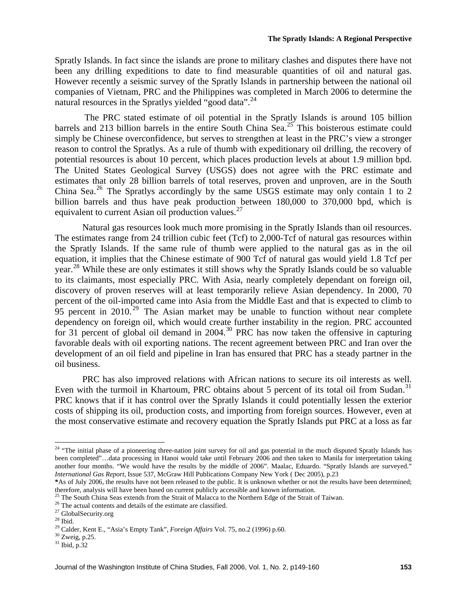Spratly Islands. In fact since the islands are prone to military clashes and disputes there have not been any drilling expeditions to date to find measurable quantities of oil and natural gas. However recently a seismic survey of the Spratly Islands in partnership between the national oil companies of Vietnam, PRC and the Philippines was completed in March 2006 to determine the natural resources in the Spratlys yielded "good data". $^{24}$  $^{24}$  $^{24}$ 

 The PRC stated estimate of oil potential in the Spratly Islands is around 105 billion barrels and 213 billion barrels in the entire South China Sea.<sup>[25](#page-4-1)</sup> This boisterous estimate could simply be Chinese overconfidence, but serves to strengthen at least in the PRC's view a stronger reason to control the Spratlys. As a rule of thumb with expeditionary oil drilling, the recovery of potential resources is about 10 percent, which places production levels at about 1.9 million bpd. The United States Geological Survey (USGS) does not agree with the PRC estimate and estimates that only 28 billion barrels of total reserves, proven and unproven, are in the South China Sea.<sup>[26](#page-4-2)</sup> The Spratlys accordingly by the same USGS estimate may only contain 1 to 2 billion barrels and thus have peak production between 180,000 to 370,000 bpd, which is equivalent to current Asian oil production values.<sup>[27](#page-4-3)</sup>

Natural gas resources look much more promising in the Spratly Islands than oil resources. The estimates range from 24 trillion cubic feet (Tcf) to 2,000-Tcf of natural gas resources within the Spratly Islands. If the same rule of thumb were applied to the natural gas as in the oil equation, it implies that the Chinese estimate of 900 Tcf of natural gas would yield 1.8 Tcf per year.<sup>[28](#page-4-4)</sup> While these are only estimates it still shows why the Spratly Islands could be so valuable to its claimants, most especially PRC. With Asia, nearly completely dependant on foreign oil, discovery of proven reserves will at least temporarily relieve Asian dependency. In 2000, 70 percent of the oil-imported came into Asia from the Middle East and that is expected to climb to 95 percent in 2010.<sup>[29](#page-4-5)</sup> The Asian market may be unable to function without near complete dependency on foreign oil, which would create further instability in the region. PRC accounted for 31 percent of global oil demand in  $2004$ .<sup>[30](#page-4-6)</sup> PRC has now taken the offensive in capturing favorable deals with oil exporting nations. The recent agreement between PRC and Iran over the development of an oil field and pipeline in Iran has ensured that PRC has a steady partner in the oil business.

PRC has also improved relations with African nations to secure its oil interests as well. Even with the turmoil in Khartoum, PRC obtains about 5 percent of its total oil from Sudan.<sup>[31](#page-4-7)</sup> PRC knows that if it has control over the Spratly Islands it could potentially lessen the exterior costs of shipping its oil, production costs, and importing from foreign sources. However, even at the most conservative estimate and recovery equation the Spratly Islands put PRC at a loss as far

<u>.</u>

<span id="page-4-0"></span><sup>&</sup>lt;sup>24</sup> "The initial phase of a pioneering three-nation joint survey for oil and gas potential in the much disputed Spratly Islands has been completed"…data processing in Hanoi would take until February 2006 and then taken to Manila for interpretation taking another four months. "We would have the results by the middle of 2006". Maalac, Eduardo. "Spratly Islands are surveyed." *International Gas Report,* Issue 537, McGraw Hill Publications Company New York ( Dec 2005), p.23

**<sup>\*</sup>**As of July 2006, the results have not been released to the public. It is unknown whether or not the results have been determined;

<span id="page-4-1"></span><sup>&</sup>lt;sup>25</sup> The South China Seas extends from the Strait of Malacca to the Northern Edge of the Strait of Taiwan.<br><sup>26</sup> The actual contents and details of the estimate are classified.

<span id="page-4-2"></span>

<sup>27</sup> GlobalSecurity.org

<span id="page-4-4"></span><span id="page-4-3"></span> $^{\rm 28}$  Ibid.

<span id="page-4-5"></span><sup>&</sup>lt;sup>29</sup> Calder, Kent E., "Asia's Empty Tank", *Foreign Affairs* Vol. 75, no.2 (1996) p.60. <sup>30</sup> Zweig, p.25.

<span id="page-4-7"></span><span id="page-4-6"></span><sup>31</sup> Ibid, p.32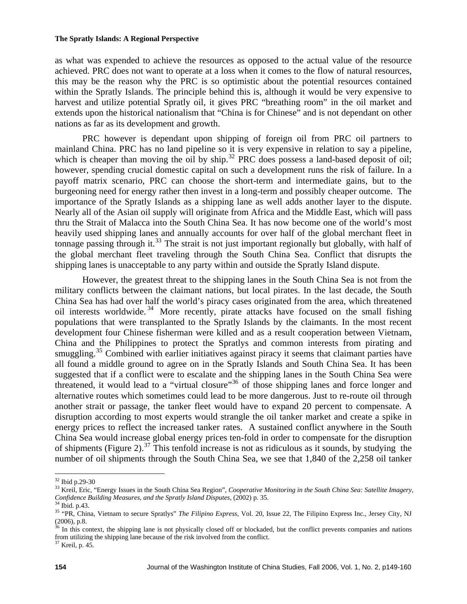as what was expended to achieve the resources as opposed to the actual value of the resource achieved. PRC does not want to operate at a loss when it comes to the flow of natural resources, this may be the reason why the PRC is so optimistic about the potential resources contained within the Spratly Islands. The principle behind this is, although it would be very expensive to harvest and utilize potential Spratly oil, it gives PRC "breathing room" in the oil market and extends upon the historical nationalism that "China is for Chinese" and is not dependant on other nations as far as its development and growth.

PRC however is dependant upon shipping of foreign oil from PRC oil partners to mainland China. PRC has no land pipeline so it is very expensive in relation to say a pipeline, which is cheaper than moving the oil by ship.<sup>[32](#page-5-0)</sup> PRC does possess a land-based deposit of oil; however, spending crucial domestic capital on such a development runs the risk of failure. In a payoff matrix scenario, PRC can choose the short-term and intermediate gains, but to the burgeoning need for energy rather then invest in a long-term and possibly cheaper outcome. The importance of the Spratly Islands as a shipping lane as well adds another layer to the dispute. Nearly all of the Asian oil supply will originate from Africa and the Middle East, which will pass thru the Strait of Malacca into the South China Sea. It has now become one of the world's most heavily used shipping lanes and annually accounts for over half of the global merchant fleet in tonnage passing through it.<sup>[33](#page-5-1)</sup> The strait is not just important regionally but globally, with half of the global merchant fleet traveling through the South China Sea. Conflict that disrupts the shipping lanes is unacceptable to any party within and outside the Spratly Island dispute.

However, the greatest threat to the shipping lanes in the South China Sea is not from the military conflicts between the claimant nations, but local pirates. In the last decade, the South China Sea has had over half the world's piracy cases originated from the area, which threatened oil interests worldwide. [34](#page-5-2) More recently, pirate attacks have focused on the small fishing populations that were transplanted to the Spratly Islands by the claimants. In the most recent development four Chinese fisherman were killed and as a result cooperation between Vietnam, China and the Philippines to protect the Spratlys and common interests from pirating and smuggling.<sup>[35](#page-5-3)</sup> Combined with earlier initiatives against piracy it seems that claimant parties have all found a middle ground to agree on in the Spratly Islands and South China Sea. It has been suggested that if a conflict were to escalate and the shipping lanes in the South China Sea were threatened, it would lead to a "virtual closure"[36](#page-5-4) of those shipping lanes and force longer and alternative routes which sometimes could lead to be more dangerous. Just to re-route oil through another strait or passage, the tanker fleet would have to expand 20 percent to compensate. A disruption according to most experts would strangle the oil tanker market and create a spike in energy prices to reflect the increased tanker rates. A sustained conflict anywhere in the South China Sea would increase global energy prices ten-fold in order to compensate for the disruption of shipments (Figure 2).<sup>[37](#page-5-5)</sup> This tenfold increase is not as ridiculous as it sounds, by studying the number of oil shipments through the South China Sea, we see that 1,840 of the 2,258 oil tanker

<sup>32</sup> Ibid p.29-30

<span id="page-5-1"></span><span id="page-5-0"></span><sup>&</sup>lt;sup>33</sup> Kreil, Eric, "Energy Issues in the South China Sea Region", *Cooperative Monitoring in the South China Sea: Satellite Imagery*, *Confidence Building Measures, and the Spratly Island Disputes*, (2002) p. 35. 34 Ibid. p.43.

<span id="page-5-2"></span>

<span id="page-5-3"></span><sup>35 &</sup>quot;PR, China, Vietnam to secure Spratlys" *The Filipino Express*, Vol. 20, Issue 22, The Filipino Express Inc., Jersey City, NJ (2006), p.8.

<span id="page-5-4"></span><sup>&</sup>lt;sup>36</sup> In this context, the shipping lane is not physically closed off or blockaded, but the conflict prevents companies and nations from utilizing the shipping lane because of the risk involved from the conflict.

<span id="page-5-5"></span><sup>37</sup> Kreil, p. 45.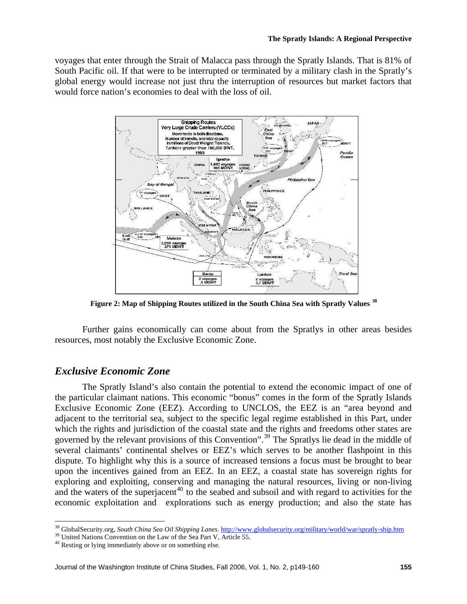voyages that enter through the Strait of Malacca pass through the Spratly Islands. That is 81% of South Pacific oil. If that were to be interrupted or terminated by a military clash in the Spratly's global energy would increase not just thru the interruption of resources but market factors that would force nation's economies to deal with the loss of oil.



**Figure 2: Map of Shipping Routes utilized in the South China Sea with Spratly Values [38](#page-6-0)**

Further gains economically can come about from the Spratlys in other areas besides resources, most notably the Exclusive Economic Zone.

# *Exclusive Economic Zone*

 $\overline{a}$ 

The Spratly Island's also contain the potential to extend the economic impact of one of the particular claimant nations. This economic "bonus" comes in the form of the Spratly Islands Exclusive Economic Zone (EEZ). According to UNCLOS, the EEZ is an "area beyond and adjacent to the territorial sea, subject to the specific legal regime established in this Part, under which the rights and jurisdiction of the coastal state and the rights and freedoms other states are governed by the relevant provisions of this Convention".[39](#page-6-1) The Spratlys lie dead in the middle of several claimants' continental shelves or EEZ's which serves to be another flashpoint in this dispute. To highlight why this is a source of increased tensions a focus must be brought to bear upon the incentives gained from an EEZ. In an EEZ, a coastal state has sovereign rights for exploring and exploiting, conserving and managing the natural resources, living or non-living and the waters of the superjacent<sup>[40](#page-6-2)</sup> to the seabed and subsoil and with regard to activities for the economic exploitation and explorations such as energy production; and also the state has

<span id="page-6-0"></span><sup>&</sup>lt;sup>38</sup> GlobalSecurity.org, *South China Sea Oil Shipping Lanes*. <http://www.globalsecurity.org/military/world/war/spratly-ship.htm> <sup>39</sup> United Nations Convention on the Law of the Sea Part V, Article 55.<br><sup>40</sup> Resting or lyi

<span id="page-6-1"></span>

<span id="page-6-2"></span>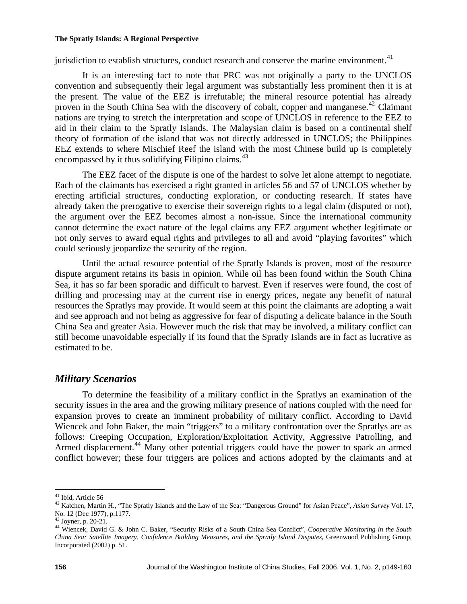jurisdiction to establish structures, conduct research and conserve the marine environment.<sup>[41](#page-7-0)</sup>

It is an interesting fact to note that PRC was not originally a party to the UNCLOS convention and subsequently their legal argument was substantially less prominent then it is at the present. The value of the EEZ is irrefutable; the mineral resource potential has already proven in the South China Sea with the discovery of cobalt, copper and manganese.<sup>[42](#page-7-1)</sup> Claimant nations are trying to stretch the interpretation and scope of UNCLOS in reference to the EEZ to aid in their claim to the Spratly Islands. The Malaysian claim is based on a continental shelf theory of formation of the island that was not directly addressed in UNCLOS; the Philippines EEZ extends to where Mischief Reef the island with the most Chinese build up is completely encompassed by it thus solidifying Filipino claims.<sup>[43](#page-7-2)</sup>

 The EEZ facet of the dispute is one of the hardest to solve let alone attempt to negotiate. Each of the claimants has exercised a right granted in articles 56 and 57 of UNCLOS whether by erecting artificial structures, conducting exploration, or conducting research. If states have already taken the prerogative to exercise their sovereign rights to a legal claim (disputed or not), the argument over the EEZ becomes almost a non-issue. Since the international community cannot determine the exact nature of the legal claims any EEZ argument whether legitimate or not only serves to award equal rights and privileges to all and avoid "playing favorites" which could seriously jeopardize the security of the region.

Until the actual resource potential of the Spratly Islands is proven, most of the resource dispute argument retains its basis in opinion. While oil has been found within the South China Sea, it has so far been sporadic and difficult to harvest. Even if reserves were found, the cost of drilling and processing may at the current rise in energy prices, negate any benefit of natural resources the Spratlys may provide. It would seem at this point the claimants are adopting a wait and see approach and not being as aggressive for fear of disputing a delicate balance in the South China Sea and greater Asia. However much the risk that may be involved, a military conflict can still become unavoidable especially if its found that the Spratly Islands are in fact as lucrative as estimated to be.

# *Military Scenarios*

To determine the feasibility of a military conflict in the Spratlys an examination of the security issues in the area and the growing military presence of nations coupled with the need for expansion proves to create an imminent probability of military conflict. According to David Wiencek and John Baker, the main "triggers" to a military confrontation over the Spratlys are as follows: Creeping Occupation, Exploration/Exploitation Activity, Aggressive Patrolling, and Armed displacement.<sup>[44](#page-7-3)</sup> Many other potential triggers could have the power to spark an armed conflict however; these four triggers are polices and actions adopted by the claimants and at

 $\overline{a}$ <sup>41</sup> Ibid, Article 56

<span id="page-7-1"></span><span id="page-7-0"></span><sup>42</sup> Katchen, Martin H., "The Spratly Islands and the Law of the Sea: "Dangerous Ground" for Asian Peace", *Asian Survey* Vol. 17, No. 12 (Dec 1977), p.1177.

<span id="page-7-2"></span><sup>43</sup> Joyner, p. 20-21.

<span id="page-7-3"></span><sup>44</sup> Wiencek, David G. & John C. Baker, "Security Risks of a South China Sea Conflict", *Cooperative Monitoring in the South China Sea: Satellite Imagery, Confidence Building Measures, and the Spratly Island Disputes*, Greenwood Publishing Group, Incorporated (2002) p. 51.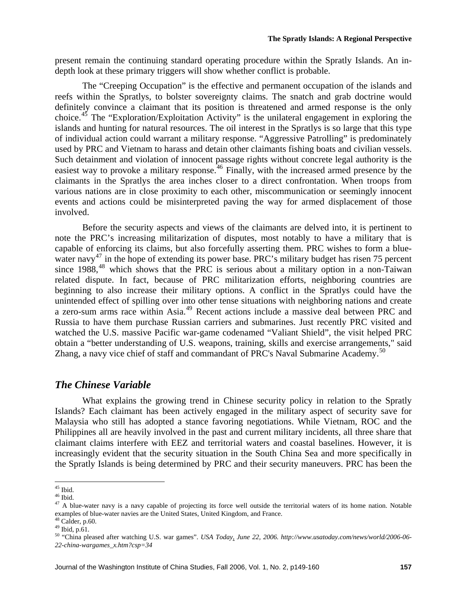present remain the continuing standard operating procedure within the Spratly Islands. An indepth look at these primary triggers will show whether conflict is probable.

The "Creeping Occupation" is the effective and permanent occupation of the islands and reefs within the Spratlys, to bolster sovereignty claims. The snatch and grab doctrine would definitely convince a claimant that its position is threatened and armed response is the only choice.<sup>[45](#page-8-0)</sup> The "Exploration/Exploitation Activity" is the unilateral engagement in exploring the islands and hunting for natural resources. The oil interest in the Spratlys is so large that this type of individual action could warrant a military response. "Aggressive Patrolling" is predominately used by PRC and Vietnam to harass and detain other claimants fishing boats and civilian vessels. Such detainment and violation of innocent passage rights without concrete legal authority is the easiest way to provoke a military response.<sup>[46](#page-8-1)</sup> Finally, with the increased armed presence by the claimants in the Spratlys the area inches closer to a direct confrontation. When troops from various nations are in close proximity to each other, miscommunication or seemingly innocent events and actions could be misinterpreted paving the way for armed displacement of those involved.

Before the security aspects and views of the claimants are delved into, it is pertinent to note the PRC's increasing militarization of disputes, most notably to have a military that is capable of enforcing its claims, but also forcefully asserting them. PRC wishes to form a blue-water navy<sup>[47](#page-8-2)</sup> in the hope of extending its power base. PRC's military budget has risen 75 percent since  $1988<sup>48</sup>$  $1988<sup>48</sup>$  $1988<sup>48</sup>$  which shows that the PRC is serious about a military option in a non-Taiwan related dispute. In fact, because of PRC militarization efforts, neighboring countries are beginning to also increase their military options. A conflict in the Spratlys could have the unintended effect of spilling over into other tense situations with neighboring nations and create a zero-sum arms race within Asia.[49](#page-8-4) Recent actions include a massive deal between PRC and Russia to have them purchase Russian carriers and submarines. Just recently PRC visited and watched the U.S. massive Pacific war-game codenamed "Valiant Shield", the visit helped PRC obtain a "better understanding of U.S. weapons, training, skills and exercise arrangements," said Zhang, a navy vice chief of staff and commandant of PRC's Naval Submarine Academy.<sup>[50](#page-8-5)</sup>

#### *The Chinese Variable*

What explains the growing trend in Chinese security policy in relation to the Spratly Islands? Each claimant has been actively engaged in the military aspect of security save for Malaysia who still has adopted a stance favoring negotiations. While Vietnam, ROC and the Philippines all are heavily involved in the past and current military incidents, all three share that claimant claims interfere with EEZ and territorial waters and coastal baselines. However, it is increasingly evident that the security situation in the South China Sea and more specifically in the Spratly Islands is being determined by PRC and their security maneuvers. PRC has been the

 $\overline{a}$  $45$  Ibid.

<span id="page-8-1"></span><span id="page-8-0"></span><sup>46</sup> Ibid.

<span id="page-8-2"></span> $47$  A blue-water navy is a navy capable of projecting its force well outside the territorial waters of its home nation. Notable examples of blue-water navies are the United States, United Kingdom, and France.

 $48$  Calder, p.60.

<span id="page-8-4"></span><span id="page-8-3"></span><sup>49</sup> Ibid, p.61.

<span id="page-8-5"></span><sup>50 &</sup>quot;China pleased after watching U.S. war games". *USA Today, June 22, 2006. http://www.usatoday.com/news/world/2006-06- 22-china-wargames\_x.htm?csp=34*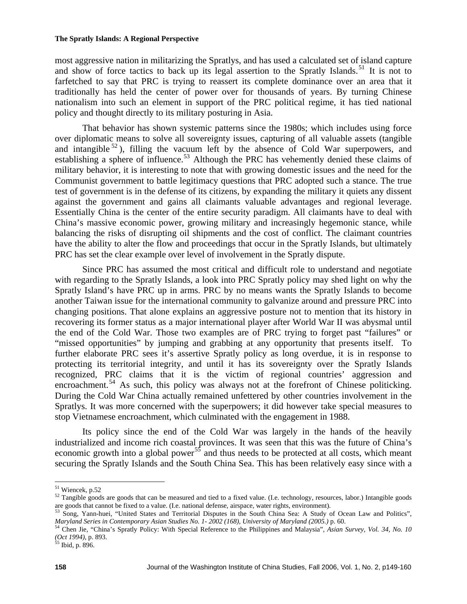most aggressive nation in militarizing the Spratlys, and has used a calculated set of island capture and show of force tactics to back up its legal assertion to the Spratly Islands.<sup>[51](#page-9-0)</sup> It is not to farfetched to say that PRC is trying to reassert its complete dominance over an area that it traditionally has held the center of power over for thousands of years. By turning Chinese nationalism into such an element in support of the PRC political regime, it has tied national policy and thought directly to its military posturing in Asia.

That behavior has shown systemic patterns since the 1980s; which includes using force over diplomatic means to solve all sovereignty issues, capturing of all valuable assets (tangible and intangible  $52$ ), filling the vacuum left by the absence of Cold War superpowers, and establishing a sphere of influence.<sup>[53](#page-9-2)</sup> Although the PRC has vehemently denied these claims of military behavior, it is interesting to note that with growing domestic issues and the need for the Communist government to battle legitimacy questions that PRC adopted such a stance. The true test of government is in the defense of its citizens, by expanding the military it quiets any dissent against the government and gains all claimants valuable advantages and regional leverage. Essentially China is the center of the entire security paradigm. All claimants have to deal with China's massive economic power, growing military and increasingly hegemonic stance, while balancing the risks of disrupting oil shipments and the cost of conflict. The claimant countries have the ability to alter the flow and proceedings that occur in the Spratly Islands, but ultimately PRC has set the clear example over level of involvement in the Spratly dispute.

Since PRC has assumed the most critical and difficult role to understand and negotiate with regarding to the Spratly Islands, a look into PRC Spratly policy may shed light on why the Spratly Island's have PRC up in arms. PRC by no means wants the Spratly Islands to become another Taiwan issue for the international community to galvanize around and pressure PRC into changing positions. That alone explains an aggressive posture not to mention that its history in recovering its former status as a major international player after World War II was abysmal until the end of the Cold War. Those two examples are of PRC trying to forget past "failures" or "missed opportunities" by jumping and grabbing at any opportunity that presents itself. To further elaborate PRC sees it's assertive Spratly policy as long overdue, it is in response to protecting its territorial integrity, and until it has its sovereignty over the Spratly Islands recognized, PRC claims that it is the victim of regional countries' aggression and encroachment.<sup>[54](#page-9-3)</sup> As such, this policy was always not at the forefront of Chinese politicking. During the Cold War China actually remained unfettered by other countries involvement in the Spratlys. It was more concerned with the superpowers; it did however take special measures to stop Vietnamese encroachment, which culminated with the engagement in 1988.

Its policy since the end of the Cold War was largely in the hands of the heavily industrialized and income rich coastal provinces. It was seen that this was the future of China's economic growth into a global power<sup>[55](#page-9-4)</sup> and thus needs to be protected at all costs, which meant securing the Spratly Islands and the South China Sea. This has been relatively easy since with a

<sup>&</sup>lt;sup>51</sup> Wiencek, p.52

<span id="page-9-1"></span><span id="page-9-0"></span> $52$  Tangible goods are goods that can be measured and tied to a fixed value. (I.e. technology, resources, labor.) Intangible goods are goods that cannot be fixed to a value. (I.e. national defense, airspace, water rights, environment).

<span id="page-9-2"></span><sup>53</sup> Song, Yann-huei, "United States and Territorial Disputes in the South China Sea: A Study of Ocean Law and Politics", Maryland Series in Contemporary Asian Studies No. 1- 2002 (168), University of Maryland (2005.) p. 60.<br><sup>54</sup> Chen Jie, "China's Spratly Policy: With Special Reference to the Philippines and Malaysia", Asian Survey, Vol. 34,

<span id="page-9-3"></span>*<sup>(</sup>Oct 1994), p.* 893.<br><sup>55</sup> Ibid, p. 896.

<span id="page-9-4"></span>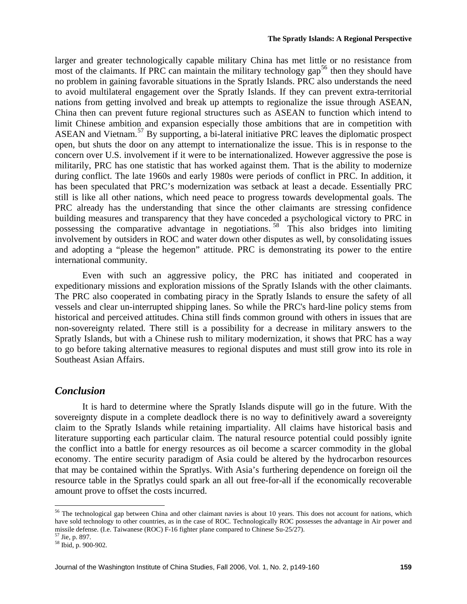larger and greater technologically capable military China has met little or no resistance from most of the claimants. If PRC can maintain the military technology  $\gamma$  fields then they should have no problem in gaining favorable situations in the Spratly Islands. PRC also understands the need to avoid multilateral engagement over the Spratly Islands. If they can prevent extra-territorial nations from getting involved and break up attempts to regionalize the issue through ASEAN, China then can prevent future regional structures such as ASEAN to function which intend to limit Chinese ambition and expansion especially those ambitions that are in competition with ASEAN and Vietnam.<sup>[57](#page-10-1)</sup> By supporting, a bi-lateral initiative PRC leaves the diplomatic prospect open, but shuts the door on any attempt to internationalize the issue. This is in response to the concern over U.S. involvement if it were to be internationalized. However aggressive the pose is militarily, PRC has one statistic that has worked against them. That is the ability to modernize during conflict. The late 1960s and early 1980s were periods of conflict in PRC. In addition, it has been speculated that PRC's modernization was setback at least a decade. Essentially PRC still is like all other nations, which need peace to progress towards developmental goals. The PRC already has the understanding that since the other claimants are stressing confidence building measures and transparency that they have conceded a psychological victory to PRC in possessing the comparative advantage in negotiations. [58](#page-10-2) This also bridges into limiting involvement by outsiders in ROC and water down other disputes as well, by consolidating issues and adopting a "please the hegemon" attitude. PRC is demonstrating its power to the entire international community.

Even with such an aggressive policy, the PRC has initiated and cooperated in expeditionary missions and exploration missions of the Spratly Islands with the other claimants. The PRC also cooperated in combating piracy in the Spratly Islands to ensure the safety of all vessels and clear un-interrupted shipping lanes. So while the PRC's hard-line policy stems from historical and perceived attitudes. China still finds common ground with others in issues that are non-sovereignty related. There still is a possibility for a decrease in military answers to the Spratly Islands, but with a Chinese rush to military modernization, it shows that PRC has a way to go before taking alternative measures to regional disputes and must still grow into its role in Southeast Asian Affairs.

### *Conclusion*

It is hard to determine where the Spratly Islands dispute will go in the future. With the sovereignty dispute in a complete deadlock there is no way to definitively award a sovereignty claim to the Spratly Islands while retaining impartiality. All claims have historical basis and literature supporting each particular claim. The natural resource potential could possibly ignite the conflict into a battle for energy resources as oil become a scarcer commodity in the global economy. The entire security paradigm of Asia could be altered by the hydrocarbon resources that may be contained within the Spratlys. With Asia's furthering dependence on foreign oil the resource table in the Spratlys could spark an all out free-for-all if the economically recoverable amount prove to offset the costs incurred.

<span id="page-10-0"></span><sup>&</sup>lt;sup>56</sup> The technological gap between China and other claimant navies is about 10 years. This does not account for nations, which have sold technology to other countries, as in the case of ROC. Technologically ROC possesses the advantage in Air power and missile defense. (I.e. Taiwanese (ROC) F-16 fighter plane compared to Chinese Su-25/27).

<span id="page-10-1"></span><sup>57</sup> Jie, p. 897.

<span id="page-10-2"></span><sup>58</sup> Ibid, p. 900-902.